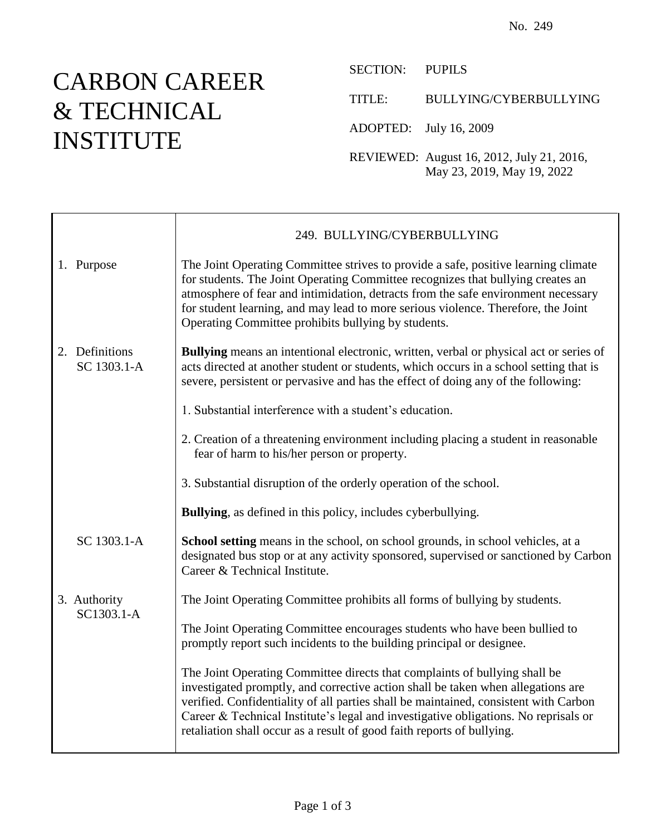## CARBON CAREER & TECHNICAL INSTITUTE

SECTION: PUPILS

TITLE: BULLYING/CYBERBULLYING

ADOPTED: July 16, 2009

REVIEWED: August 16, 2012, July 21, 2016, May 23, 2019, May 19, 2022

|                               | 249. BULLYING/CYBERBULLYING                                                                                                                                                                                                                                                                                                                                                                                             |
|-------------------------------|-------------------------------------------------------------------------------------------------------------------------------------------------------------------------------------------------------------------------------------------------------------------------------------------------------------------------------------------------------------------------------------------------------------------------|
| 1. Purpose                    | The Joint Operating Committee strives to provide a safe, positive learning climate<br>for students. The Joint Operating Committee recognizes that bullying creates an<br>atmosphere of fear and intimidation, detracts from the safe environment necessary<br>for student learning, and may lead to more serious violence. Therefore, the Joint<br>Operating Committee prohibits bullying by students.                  |
| 2. Definitions<br>SC 1303.1-A | Bullying means an intentional electronic, written, verbal or physical act or series of<br>acts directed at another student or students, which occurs in a school setting that is<br>severe, persistent or pervasive and has the effect of doing any of the following:                                                                                                                                                   |
|                               | 1. Substantial interference with a student's education.                                                                                                                                                                                                                                                                                                                                                                 |
|                               | 2. Creation of a threatening environment including placing a student in reasonable<br>fear of harm to his/her person or property.                                                                                                                                                                                                                                                                                       |
|                               | 3. Substantial disruption of the orderly operation of the school.                                                                                                                                                                                                                                                                                                                                                       |
|                               | <b>Bullying</b> , as defined in this policy, includes cyberbullying.                                                                                                                                                                                                                                                                                                                                                    |
| SC 1303.1-A                   | School setting means in the school, on school grounds, in school vehicles, at a<br>designated bus stop or at any activity sponsored, supervised or sanctioned by Carbon<br>Career & Technical Institute.                                                                                                                                                                                                                |
| 3. Authority<br>SC1303.1-A    | The Joint Operating Committee prohibits all forms of bullying by students.                                                                                                                                                                                                                                                                                                                                              |
|                               | The Joint Operating Committee encourages students who have been bullied to<br>promptly report such incidents to the building principal or designee.                                                                                                                                                                                                                                                                     |
|                               | The Joint Operating Committee directs that complaints of bullying shall be<br>investigated promptly, and corrective action shall be taken when allegations are<br>verified. Confidentiality of all parties shall be maintained, consistent with Carbon<br>Career & Technical Institute's legal and investigative obligations. No reprisals or<br>retaliation shall occur as a result of good faith reports of bullying. |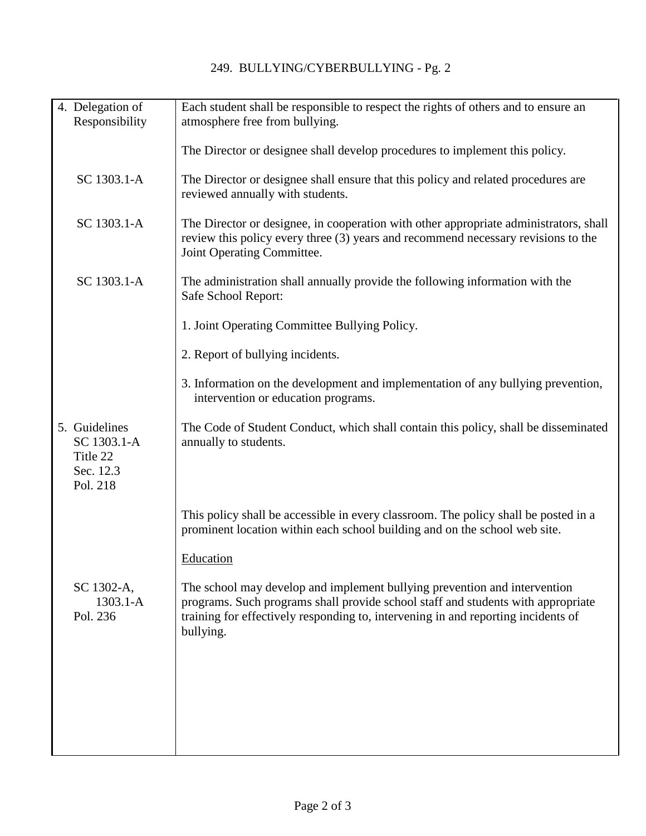| 4. Delegation of<br>Responsibility                                | Each student shall be responsible to respect the rights of others and to ensure an<br>atmosphere free from bullying.                                                                                                                                            |
|-------------------------------------------------------------------|-----------------------------------------------------------------------------------------------------------------------------------------------------------------------------------------------------------------------------------------------------------------|
|                                                                   | The Director or designee shall develop procedures to implement this policy.                                                                                                                                                                                     |
| SC 1303.1-A                                                       | The Director or designee shall ensure that this policy and related procedures are<br>reviewed annually with students.                                                                                                                                           |
| SC 1303.1-A                                                       | The Director or designee, in cooperation with other appropriate administrators, shall<br>review this policy every three (3) years and recommend necessary revisions to the<br>Joint Operating Committee.                                                        |
| SC 1303.1-A                                                       | The administration shall annually provide the following information with the<br>Safe School Report:                                                                                                                                                             |
|                                                                   | 1. Joint Operating Committee Bullying Policy.                                                                                                                                                                                                                   |
|                                                                   | 2. Report of bullying incidents.                                                                                                                                                                                                                                |
|                                                                   | 3. Information on the development and implementation of any bullying prevention,<br>intervention or education programs.                                                                                                                                         |
| 5. Guidelines<br>SC 1303.1-A<br>Title 22<br>Sec. 12.3<br>Pol. 218 | The Code of Student Conduct, which shall contain this policy, shall be disseminated<br>annually to students.                                                                                                                                                    |
|                                                                   | This policy shall be accessible in every classroom. The policy shall be posted in a<br>prominent location within each school building and on the school web site.                                                                                               |
|                                                                   | Education                                                                                                                                                                                                                                                       |
| SC 1302-A,<br>$1303.1 - A$<br>Pol. 236                            | The school may develop and implement bullying prevention and intervention<br>programs. Such programs shall provide school staff and students with appropriate<br>training for effectively responding to, intervening in and reporting incidents of<br>bullying. |
|                                                                   |                                                                                                                                                                                                                                                                 |
|                                                                   |                                                                                                                                                                                                                                                                 |
|                                                                   |                                                                                                                                                                                                                                                                 |
|                                                                   |                                                                                                                                                                                                                                                                 |